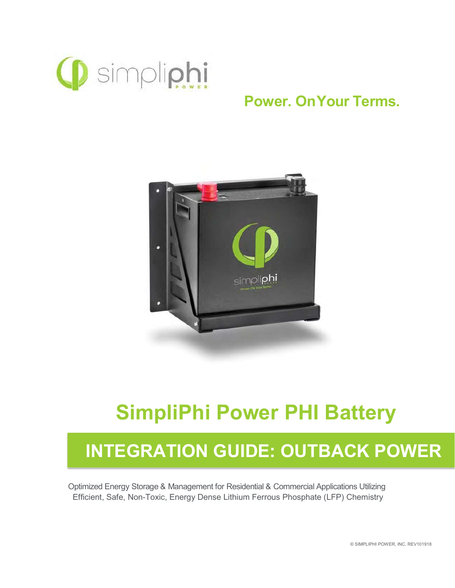

## Power. On Your Terms.



# SimpliPhi Power PHI Battery

# INTEGRATION GUIDE: OUTBACK POWER

Optimized Energy Storage & Management for Residential & Commercial Applications Utilizing Efficient, Safe, Non-Toxic, Energy Dense Lithium Ferrous Phosphate (LFP) Chemistry

© SIMPLIPHI POWER, INC. REV101918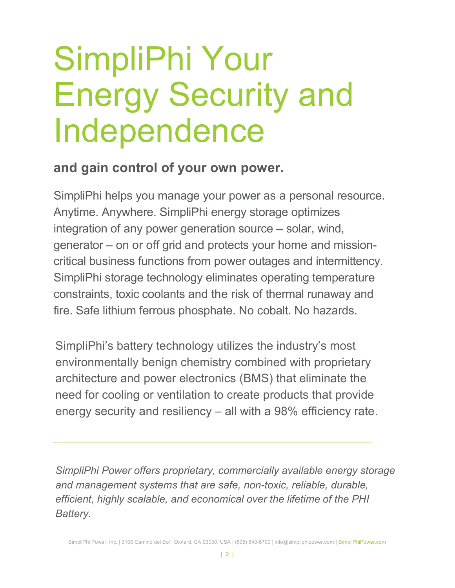# SimpliPhi Your Energy Security and Independence

## and gain control of your own power.

SimpliPhi helps you manage your power as a personal resource. Anytime. Anywhere. SimpliPhi energy storage optimizes integration of any power generation source – solar, wind, generator – on or off grid and protects your home and missioncritical business functions from power outages and intermittency. SimpliPhi storage technology eliminates operating temperature constraints, toxic coolants and the risk of thermal runaway and fire. Safe lithium ferrous phosphate. No cobalt. No hazards.

SimpliPhi's battery technology utilizes the industry's most environmentally benign chemistry combined with proprietary architecture and power electronics (BMS) that eliminate the need for cooling or ventilation to create products that provide energy security and resiliency – all with a 98% efficiency rate.

SimpliPhi Power offers proprietary, commercially available energy storage and management systems that are safe, non-toxic, reliable, durable, efficient, highly scalable, and economical over the lifetime of the PHI Battery.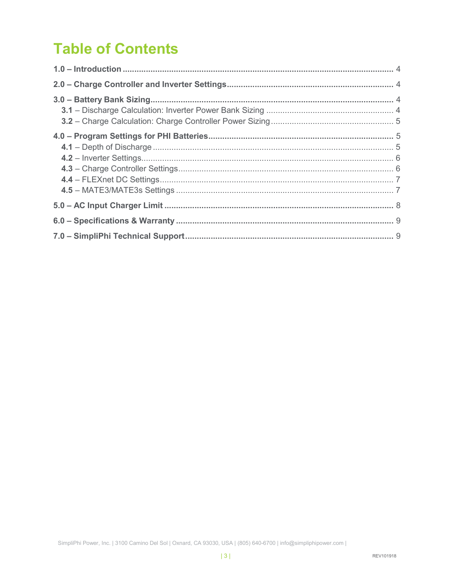# **Table of Contents**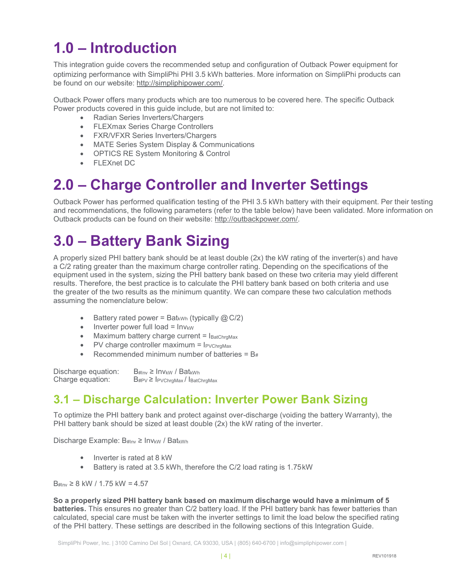## 1.0 – Introduction

This integration guide covers the recommended setup and configuration of Outback Power equipment for optimizing performance with SimpliPhi PHI 3.5 kWh batteries. More information on SimpliPhi products can be found on our website: http://simpliphipower.com/.

Outback Power offers many products which are too numerous to be covered here. The specific Outback Power products covered in this guide include, but are not limited to:

- Radian Series Inverters/Chargers
- **•** FLEXmax Series Charge Controllers
- FXR/VFXR Series Inverters/Chargers
- **MATE Series System Display & Communications**
- OPTICS RE System Monitoring & Control
- FLEXnet DC

## 2.0 – Charge Controller and Inverter Settings

Outback Power has performed qualification testing of the PHI 3.5 kWh battery with their equipment. Per their testing and recommendations, the following parameters (refer to the table below) have been validated. More information on Outback products can be found on their website: http://outbackpower.com/.

# 3.0 – Battery Bank Sizing

A properly sized PHI battery bank should be at least double (2x) the kW rating of the inverter(s) and have a C/2 rating greater than the maximum charge controller rating. Depending on the specifications of the equipment used in the system, sizing the PHI battery bank based on these two criteria may yield different results. Therefore, the best practice is to calculate the PHI battery bank based on both criteria and use the greater of the two results as the minimum quantity. We can compare these two calculation methods assuming the nomenclature below:

- **Battery rated power = Bat<sub>kWh</sub>** (typically  $@C/2$ )
- $\bullet$  Inverter power full load =  $Inv_{kW}$
- $\bullet$  Maximum battery charge current =  $I_{\text{BatChrgMax}}$
- PV charge controller maximum =  $I_{PVChraMax}$
- **•** Recommended minimum number of batteries =  $B_{#}$

Discharge equation:  $B_{\# Inv} \geq Inv_{KW} / Bat_{kWh}$ Charge equation:  $B_{\text{HPV}} \geq I_{\text{PVChrgMax}}/I_{\text{BatChrgMax}}$ 

#### 3.1 – Discharge Calculation: Inverter Power Bank Sizing

To optimize the PHI battery bank and protect against over-discharge (voiding the battery Warranty), the PHI battery bank should be sized at least double (2x) the kW rating of the inverter.

Discharge Example:  $B_{#Inv}$  ≥ Inv<sub>kW</sub> / Bat<sub>kWh</sub>

- Inverter is rated at 8 kW
- Battery is rated at 3.5 kWh, therefore the C/2 load rating is 1.75 kW

B# $_{\text{Inv}}$  ≥ 8 kW / 1.75 kW = 4.57

So a properly sized PHI battery bank based on maximum discharge would have a minimum of 5 batteries. This ensures no greater than C/2 battery load. If the PHI battery bank has fewer batteries than calculated, special care must be taken with the inverter settings to limit the load below the specified rating of the PHI battery. These settings are described in the following sections of this Integration Guide.

SimpliPhi Power, Inc. | 3100 Camino Del Sol | Oxnard, CA 93030, USA | (805) 640-6700 | info@simpliphipower.com |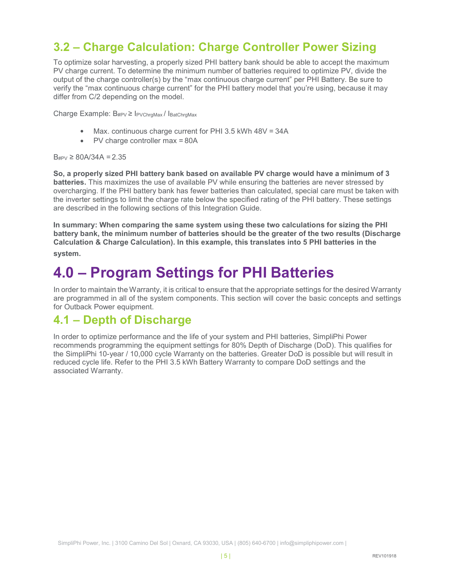#### 3.2 – Charge Calculation: Charge Controller Power Sizing

To optimize solar harvesting, a properly sized PHI battery bank should be able to accept the maximum PV charge current. To determine the minimum number of batteries required to optimize PV, divide the output of the charge controller(s) by the "max continuous charge current" per PHI Battery. Be sure to verify the "max continuous charge current" for the PHI battery model that you're using, because it may differ from C/2 depending on the model.

Charge Example: B#PV ≥ IPVChrgMax / IBatChrgMax

- Max. continuous charge current for PHI 3.5 kWh 48V = 34A
- PV charge controller max = 80A

 $B_{\text{HPV}} \geq 80A/34A = 2.35$ 

So, a properly sized PHI battery bank based on available PV charge would have a minimum of 3 batteries. This maximizes the use of available PV while ensuring the batteries are never stressed by overcharging. If the PHI battery bank has fewer batteries than calculated, special care must be taken with the inverter settings to limit the charge rate below the specified rating of the PHI battery. These settings are described in the following sections of this Integration Guide.

In summary: When comparing the same system using these two calculations for sizing the PHI battery bank, the minimum number of batteries should be the greater of the two results (Discharge Calculation & Charge Calculation). In this example, this translates into 5 PHI batteries in the system.

## 4.0 – Program Settings for PHI Batteries

In order to maintain the Warranty, it is critical to ensure that the appropriate settings for the desired Warranty are programmed in all of the system components. This section will cover the basic concepts and settings for Outback Power equipment.

#### 4.1 – Depth of Discharge

In order to optimize performance and the life of your system and PHI batteries, SimpliPhi Power recommends programming the equipment settings for 80% Depth of Discharge (DoD). This qualifies for the SimpliPhi 10-year / 10,000 cycle Warranty on the batteries. Greater DoD is possible but will result in reduced cycle life. Refer to the PHI 3.5 kWh Battery Warranty to compare DoD settings and the associated Warranty.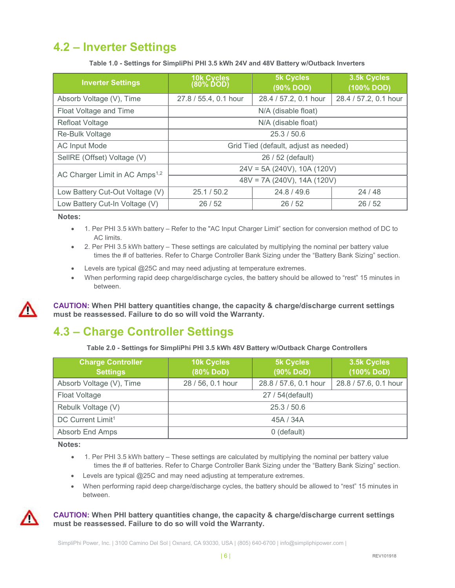## 4.2 – Inverter Settings

Table 1.0 - Settings for SimpliPhi PHI 3.5 kWh 24V and 48V Battery w/Outback Inverters

| <b>Inverter Settings</b>                   | 10k Cycles<br>(80% DOD)               | <b>5k Cycles</b><br>(90% DOD)  | 3.5k Cycles<br>(100% DOD) |  |
|--------------------------------------------|---------------------------------------|--------------------------------|---------------------------|--|
| Absorb Voltage (V), Time                   | 27.8 / 55.4, 0.1 hour                 | 28.4 / 57.2, 0.1 hour          | 28.4 / 57.2, 0.1 hour     |  |
| Float Voltage and Time                     | N/A (disable float)                   |                                |                           |  |
| Refloat Voltage                            | N/A (disable float)                   |                                |                           |  |
| Re-Bulk Voltage                            |                                       | 25.3/50.6                      |                           |  |
| <b>AC Input Mode</b>                       | Grid Tied (default, adjust as needed) |                                |                           |  |
| SellRE (Offset) Voltage (V)                | 26 / 52 (default)                     |                                |                           |  |
| AC Charger Limit in AC Amps <sup>1,2</sup> |                                       | $24V = 5A (240V)$ , 10A (120V) |                           |  |
|                                            |                                       | $48V = 7A (240V), 14A (120V)$  |                           |  |
| Low Battery Cut-Out Voltage (V)            | 25.1 / 50.2                           | 24.8/49.6                      | 24/48                     |  |
| Low Battery Cut-In Voltage (V)             | 26/52<br>26/52<br>26/52               |                                |                           |  |

Notes:

- 1. Per PHI 3.5 kWh battery Refer to the "AC Input Charger Limit" section for conversion method of DC to AC limits.
- 2. Per PHI 3.5 kWh battery These settings are calculated by multiplying the nominal per battery value times the # of batteries. Refer to Charge Controller Bank Sizing under the "Battery Bank Sizing" section.
- Levels are typical @25C and may need adjusting at temperature extremes.
- When performing rapid deep charge/discharge cycles, the battery should be allowed to "rest" 15 minutes in between.



CAUTION: When PHI battery quantities change, the capacity & charge/discharge current settings must be reassessed. Failure to do so will void the Warranty.

## 4.3 – Charge Controller Settings

Table 2.0 - Settings for SimpliPhi PHI 3.5 kWh 48V Battery w/Outback Charge Controllers

| <b>Charge Controller</b>      | 3.5k Cycles<br><b>10k Cycles</b><br><b>5k Cycles</b> |                       |                       |  |
|-------------------------------|------------------------------------------------------|-----------------------|-----------------------|--|
| <b>Settings</b>               | (80% DoD)                                            | (90% DoD)             | (100% DoD)            |  |
| Absorb Voltage (V), Time      | 28 / 56, 0.1 hour                                    | 28.8 / 57.6, 0.1 hour | 28.8 / 57.6, 0.1 hour |  |
| Float Voltage                 | 27 / 54 (default)                                    |                       |                       |  |
| Rebulk Voltage (V)            | 25.3 / 50.6                                          |                       |                       |  |
| DC Current Limit <sup>1</sup> | 45A / 34A                                            |                       |                       |  |
| Absorb End Amps               |                                                      | 0 (default)           |                       |  |

Notes:

- 1. Per PHI 3.5 kWh battery These settings are calculated by multiplying the nominal per battery value times the # of batteries. Refer to Charge Controller Bank Sizing under the "Battery Bank Sizing" section.
- Levels are typical @25C and may need adjusting at temperature extremes.
- When performing rapid deep charge/discharge cycles, the battery should be allowed to "rest" 15 minutes in between.



#### CAUTION: When PHI battery quantities change, the capacity & charge/discharge current settings must be reassessed. Failure to do so will void the Warranty.

SimpliPhi Power, Inc. | 3100 Camino Del Sol | Oxnard, CA 93030, USA | (805) 640-6700 | info@simpliphipower.com |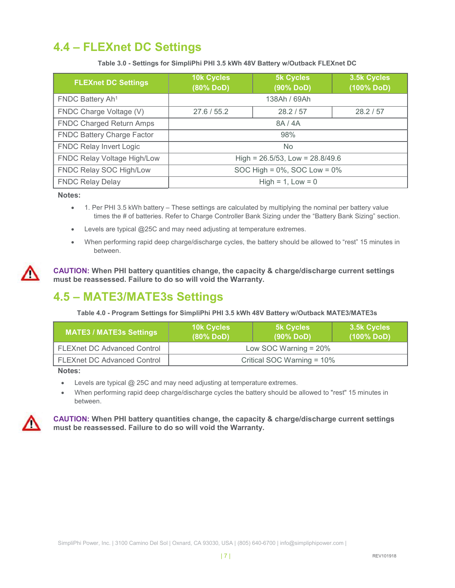## 4.4 – FLEXnet DC Settings

Table 3.0 - Settings for SimpliPhi PHI 3.5 kWh 48V Battery w/Outback FLEXnet DC

| <b>FLEXnet DC Settings</b>        | <b>10k Cycles</b><br>(80% DoD) | <b>5k Cycles</b><br>(90% DoD)        | 3.5k Cycles<br>(100% DoD) |
|-----------------------------------|--------------------------------|--------------------------------------|---------------------------|
| FNDC Battery Ah <sup>1</sup>      |                                | 138Ah / 69Ah                         |                           |
| FNDC Charge Voltage (V)           | 27.6 / 55.2                    | 28.2 / 57                            | 28.2 / 57                 |
| <b>FNDC Charged Return Amps</b>   |                                | 8A/4A                                |                           |
| <b>FNDC Battery Charge Factor</b> | 98%                            |                                      |                           |
| <b>FNDC Relay Invert Logic</b>    | <b>No</b>                      |                                      |                           |
| FNDC Relay Voltage High/Low       |                                | High = $26.5/53$ , Low = $28.8/49.6$ |                           |
| FNDC Relay SOC High/Low           |                                | SOC High = $0\%$ , SOC Low = $0\%$   |                           |
| <b>FNDC Relay Delay</b>           |                                | $High = 1, Low = 0$                  |                           |

#### Notes:

- 1. Per PHI 3.5 kWh battery These settings are calculated by multiplying the nominal per battery value times the # of batteries. Refer to Charge Controller Bank Sizing under the "Battery Bank Sizing" section.
- Levels are typical @25C and may need adjusting at temperature extremes.
- When performing rapid deep charge/discharge cycles, the battery should be allowed to "rest" 15 minutes in between.

CAUTION: When PHI battery quantities change, the capacity & charge/discharge current settings must be reassessed. Failure to do so will void the Warranty.

#### 4.5 – MATE3/MATE3s Settings

Table 4.0 - Program Settings for SimpliPhi PHI 3.5 kWh 48V Battery w/Outback MATE3/MATE3s

| <b>MATE3 / MATE3s Settings</b>     | <b>10k Cycles</b><br>$(80\%$ DoD) | <b>5k Cycles</b><br>$(90\%$ DoD) | 3.5k Cycles<br>(100% DoD) |
|------------------------------------|-----------------------------------|----------------------------------|---------------------------|
| <b>FLEXnet DC Advanced Control</b> | Low SOC Warning $= 20\%$          |                                  |                           |
| FLEXnet DC Advanced Control        | Critical SOC Warning = 10%        |                                  |                           |

#### Notes:

- Levels are typical @ 25C and may need adjusting at temperature extremes.
- When performing rapid deep charge/discharge cycles the battery should be allowed to "rest" 15 minutes in between.



CAUTION: When PHI battery quantities change, the capacity & charge/discharge current settings must be reassessed. Failure to do so will void the Warranty.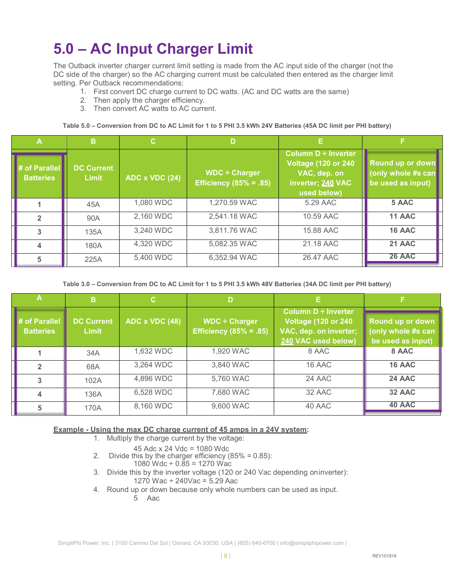## 5.0 – AC Input Charger Limit

The Outback inverter charger current limit setting is made from the AC input side of the charger (not the DC side of the charger) so the AC charging current must be calculated then entered as the charger limit setting. Per Outback recommendations:

- 1. First convert DC charge current to DC watts. (AC and DC watts are the same)
- 2. Then apply the charger efficiency.
- 3. Then convert AC watts to AC current.

Table 5.0 – Conversion from DC to AC Limit for 1 to 5 PHI 3.5 kWh 24V Batteries (45A DC limit per PHI battery)

|                                   | B                                 | C.             |                                                     |                                                                                                               |                                                             |
|-----------------------------------|-----------------------------------|----------------|-----------------------------------------------------|---------------------------------------------------------------------------------------------------------------|-------------------------------------------------------------|
| # of Parallel<br><b>Batteries</b> | <b>DC Current</b><br><b>Limit</b> | ADC x VDC (24) | $WDC \div$ Charger<br><b>Efficiency (85% = .85)</b> | <b>Column D ÷ Inverter</b><br><b>Voltage (120 or 240)</b><br>VAC, dep. on<br>inverter; 240 VAC<br>used below) | Round up or down<br>(only whole #s can<br>be used as input) |
|                                   | 45A                               | 1,080 WDC      | 1,270.59 WAC                                        | 5.29 AAC                                                                                                      | 5 AAC                                                       |
|                                   | 90A                               | 2,160 WDC      | 2,541.18 WAC                                        | 10.59 AAC                                                                                                     | 11 AAC                                                      |
|                                   | 135A                              | 3,240 WDC      | 3,811.76 WAC                                        | 15.88 AAC                                                                                                     | 16 AAC                                                      |
|                                   | 180A                              | 4,320 WDC      | 5,082.35 WAC                                        | 21.18 AAC                                                                                                     | 21 AAC                                                      |
|                                   | 225A                              | 5,400 WDC      | 6,352.94 WAC                                        | 26.47 AAC                                                                                                     | <b>26 AAC</b>                                               |

Table 3.0 – Conversion from DC to AC Limit for 1 to 5 PHI 3.5 kWh 48V Batteries (34A DC limit per PHI battery)

|                                   | n                   | C.             | D                                                   |                                                                                                            |                                                             |
|-----------------------------------|---------------------|----------------|-----------------------------------------------------|------------------------------------------------------------------------------------------------------------|-------------------------------------------------------------|
| # of Parallel<br><b>Batteries</b> | DC Current<br>Limit | ADC x VDC (48) | $WDC \div Charger$<br><b>Efficiency (85% = .85)</b> | <b>Column D ÷ Inverter</b><br><b>Voltage (120 or 240)</b><br>VAC, dep. on inverter;<br>240 VAC used below) | Round up or down<br>(only whole #s can<br>be used as input) |
|                                   | 34A                 | 1,632 WDC      | 1,920 WAC                                           | 8 AAC                                                                                                      | 8 AAC                                                       |
|                                   | 68A                 | 3,264 WDC      | 3,840 WAC                                           | 16 AAC                                                                                                     | 16 AAC                                                      |
|                                   | 102A                | 4,896 WDC      | 5,760 WAC                                           | 24 AAC                                                                                                     | 24 AAC                                                      |
|                                   | 136A                | 6,528 WDC      | 7,680 WAC                                           | 32 AAC                                                                                                     | 32 AAC                                                      |
|                                   | 170A                | 8,160 WDC      | 9,600 WAC                                           | 40 AAC                                                                                                     | 40 AAC                                                      |

#### Example - Using the max DC charge current of 45 amps in a 24V system:

1. Multiply the charge current by the voltage:

- 45 Adc x 24 Vdc = 1080 Wdc
- 2. Divide this by the charger efficiency (85% = 0.85):
	- 1080 Wdc  $\div$  0.85 = 1270 Wac
- 3. Divide this by the inverter voltage (120 or 240 Vac depending on inverter): 1270 Wac ÷ 240Vac = 5.29 Aac
- 4. Round up or down because only whole numbers can be used as input.
	- 5 Aac